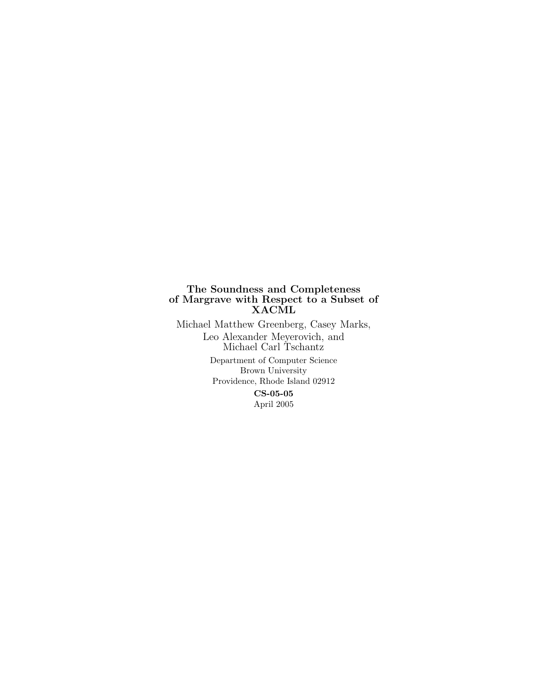# The Soundness and Completeness of Margrave with Respect to a Subset of XACML

Michael Matthew Greenberg, Casey Marks, Leo Alexander Meyerovich, and Michael Carl Tschantz Department of Computer Science Brown University Providence, Rhode Island 02912 CS-05-05 April 2005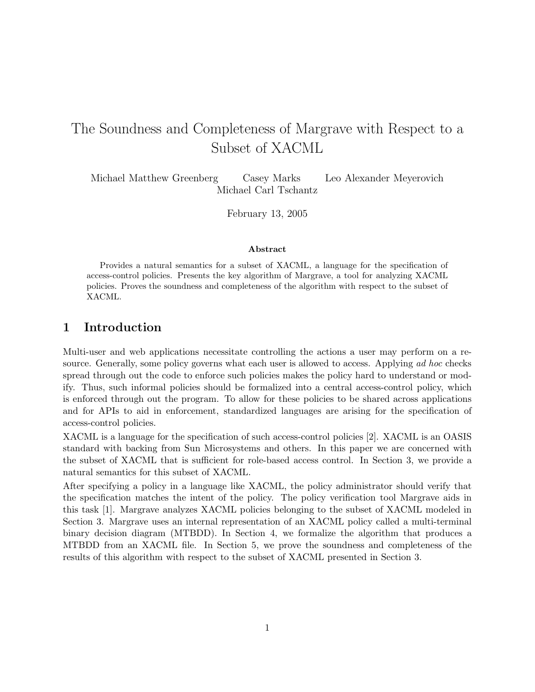# The Soundness and Completeness of Margrave with Respect to a Subset of XACML

Michael Matthew Greenberg Casey Marks Leo Alexander Meyerovich Michael Carl Tschantz

February 13, 2005

#### Abstract

Provides a natural semantics for a subset of XACML, a language for the specification of access-control policies. Presents the key algorithm of Margrave, a tool for analyzing XACML policies. Proves the soundness and completeness of the algorithm with respect to the subset of XACML.

# 1 Introduction

Multi-user and web applications necessitate controlling the actions a user may perform on a resource. Generally, some policy governs what each user is allowed to access. Applying ad hoc checks spread through out the code to enforce such policies makes the policy hard to understand or modify. Thus, such informal policies should be formalized into a central access-control policy, which is enforced through out the program. To allow for these policies to be shared across applications and for APIs to aid in enforcement, standardized languages are arising for the specification of access-control policies.

XACML is a language for the specification of such access-control policies [2]. XACML is an OASIS standard with backing from Sun Microsystems and others. In this paper we are concerned with the subset of XACML that is sufficient for role-based access control. In Section 3, we provide a natural semantics for this subset of XACML.

After specifying a policy in a language like XACML, the policy administrator should verify that the specification matches the intent of the policy. The policy verification tool Margrave aids in this task [1]. Margrave analyzes XACML policies belonging to the subset of XACML modeled in Section 3. Margrave uses an internal representation of an XACML policy called a multi-terminal binary decision diagram (MTBDD). In Section 4, we formalize the algorithm that produces a MTBDD from an XACML file. In Section 5, we prove the soundness and completeness of the results of this algorithm with respect to the subset of XACML presented in Section 3.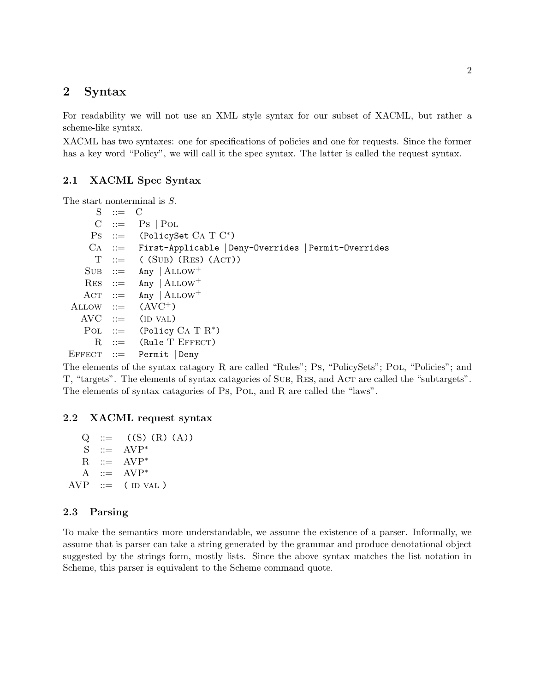# 2 Syntax

For readability we will not use an XML style syntax for our subset of XACML, but rather a scheme-like syntax.

XACML has two syntaxes: one for specifications of policies and one for requests. Since the former has a key word "Policy", we will call it the spec syntax. The latter is called the request syntax.

# 2.1 XACML Spec Syntax

The start nonterminal is S.

 $S \quad ::= \quad C$  $C \ ::= \ Ps \ | \$ Pol  $\text{Ps}$  := (PolicySet CA T  $\text{C}^*$ ) Ca ::= First-Applicable | Deny-Overrides | Permit-Overrides  $T$  ::= ( (SUB) (RES) (ACT))  $SUB ::= Any | ALLOW^+$  $RES$  ::= Any  $|ALLOW$ <sup>+</sup>  $\text{ACT}$  ::=  $\text{Any } |$   $\text{ALLOW}^+$ ALLOW  $::=$   $(AVC^+)$  $AVC ::= (ID VAL)$ POL ::= (Policy  $CA T R^*$ )  $R$  := (Rule T EFFECT)  $E$ FFECT ::= Permit Deny

The elements of the syntax catagory R are called "Rules"; Ps, "PolicySets"; Pol, "Policies"; and T, "targets". The elements of syntax catagories of Sub, RES, and Act are called the "subtargets". The elements of syntax catagories of Ps, PoL, and R are called the "laws".

#### 2.2 XACML request syntax

 $Q := (S) (R) (A)$  $S$  ::=  $AVP^*$  $R$  ::=  $AVP^*$ A  $::=$  AVP<sup>\*</sup>  $AVP ::= (ID VAL)$ 

## 2.3 Parsing

To make the semantics more understandable, we assume the existence of a parser. Informally, we assume that is parser can take a string generated by the grammar and produce denotational object suggested by the strings form, mostly lists. Since the above syntax matches the list notation in Scheme, this parser is equivalent to the Scheme command quote.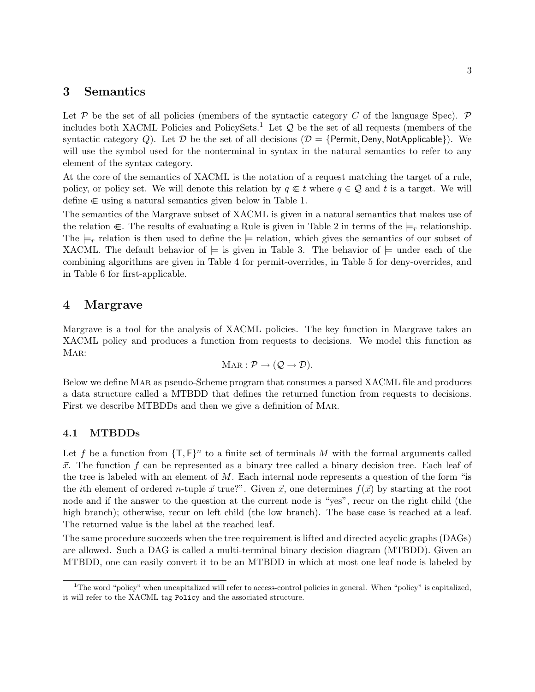# 3 Semantics

Let  $P$  be the set of all policies (members of the syntactic category C of the language Spec).  $P$ includes both XACML Policies and PolicySets.<sup>1</sup> Let  $\mathcal Q$  be the set of all requests (members of the syntactic category Q). Let D be the set of all decisions  $(D = \{Permit, Deny, NotApplicable\})$ . We will use the symbol used for the nonterminal in syntax in the natural semantics to refer to any element of the syntax category.

At the core of the semantics of XACML is the notation of a request matching the target of a rule, policy, or policy set. We will denote this relation by  $q \in t$  where  $q \in \mathcal{Q}$  and t is a target. We will define  $\in$  using a natural semantics given below in Table 1.

The semantics of the Margrave subset of XACML is given in a natural semantics that makes use of the relation  $\in$ . The results of evaluating a Rule is given in Table 2 in terms of the  $\models_r$  relationship. The  $\models_r$  relation is then used to define the  $\models$  relation, which gives the semantics of our subset of XACML. The default behavior of  $\models$  is given in Table 3. The behavior of  $\models$  under each of the combining algorithms are given in Table 4 for permit-overrides, in Table 5 for deny-overrides, and in Table 6 for first-applicable.

## 4 Margrave

Margrave is a tool for the analysis of XACML policies. The key function in Margrave takes an XACML policy and produces a function from requests to decisions. We model this function as MAR:

$$
MAR: \mathcal{P} \to (\mathcal{Q} \to \mathcal{D}).
$$

Below we define Mar as pseudo-Scheme program that consumes a parsed XACML file and produces a data structure called a MTBDD that defines the returned function from requests to decisions. First we describe MTBDDs and then we give a definition of Mar.

#### 4.1 MTBDDs

Let f be a function from  $\{\mathsf{T},\mathsf{F}\}^n$  to a finite set of terminals M with the formal arguments called  $\vec{x}$ . The function f can be represented as a binary tree called a binary decision tree. Each leaf of the tree is labeled with an element of  $M$ . Each internal node represents a question of the form "is the *i*th element of ordered *n*-tuple  $\vec{x}$  true?". Given  $\vec{x}$ , one determines  $f(\vec{x})$  by starting at the root node and if the answer to the question at the current node is "yes", recur on the right child (the high branch); otherwise, recur on left child (the low branch). The base case is reached at a leaf. The returned value is the label at the reached leaf.

The same procedure succeeds when the tree requirement is lifted and directed acyclic graphs (DAGs) are allowed. Such a DAG is called a multi-terminal binary decision diagram (MTBDD). Given an MTBDD, one can easily convert it to be an MTBDD in which at most one leaf node is labeled by

<sup>&</sup>lt;sup>1</sup>The word "policy" when uncapitalized will refer to access-control policies in general. When "policy" is capitalized, it will refer to the XACML tag Policy and the associated structure.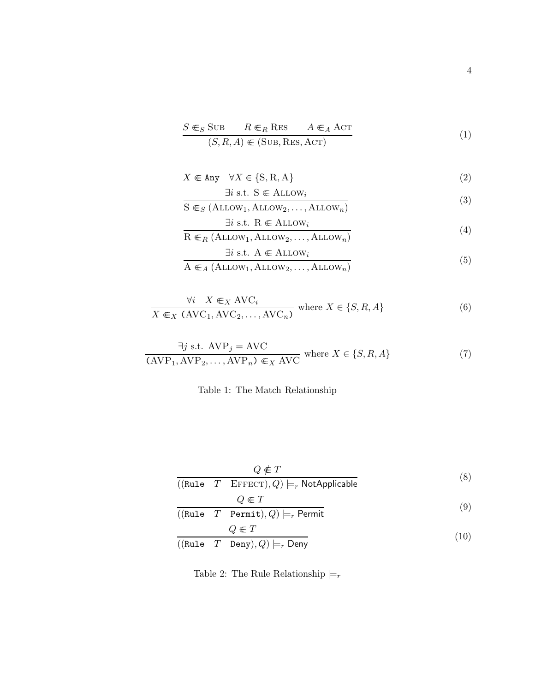$$
S \in_S \text{SUB} \qquad R \in_R \text{RES} \qquad A \in_A \text{ACT}
$$
  

$$
(S, R, A) \in (\text{SUB}, \text{RES}, \text{ACT})
$$
 (1)

$$
X \in \text{Any} \quad \forall X \in \{S, R, A\}
$$
 (2)

$$
\frac{\exists i \text{ s.t. } \mathbf{S} \in \text{ALLOW}_i}{\mathbf{S} \in_S (\text{ALLOW}_1, \text{ALLOW}_2, \dots, \text{ALLOW}_n)}
$$
(3)

$$
\exists i \text{ s.t. } R \in \text{ALLOW}_i \tag{4}
$$

$$
R \in_R (ALLOW_1, ALLOW_2, \dots, ALLOW_n)
$$
  
\n $\exists i \text{ s.t. } A \in ALLOW_i$  (5)

$$
A \inA (ALLOW1, ALLOW2, ..., ALLOWn)
$$
 (5)

$$
\forall i \quad X \in X \text{ AVC}_i
$$
  
 
$$
X \in X \text{ (AVC}_1, \text{AVC}_2, ..., \text{AVC}_n)
$$
 where  $X \in \{S, R, A\}$  (6)

$$
\frac{\exists j \text{ s.t. } \text{AVP}_j = \text{AVC}}{(\text{AVP}_1, \text{AVP}_2, \dots, \text{AVP}_n) \in_X \text{AVC}} \text{ where } X \in \{S, R, A\}
$$
(7)

# Table 1: The Match Relationship

$$
\frac{Q \notin T}{((\text{Rule } T \quad \text{EFFECT}), Q) \models_r \text{NotApplicable}}
$$
\n
$$
Q \in T
$$
\n(8)

$$
\frac{Q \in I}{((\text{Rule } T \quad \text{Permit}), Q) \models_r \text{Permit})}
$$
\n
$$
Q \in T
$$
\n(9)

$$
\frac{Q \in I}{((\text{Rule } T \quad \text{Deny}), Q) \models_r \text{Deny}}
$$
\n(10)

Table 2: The Rule Relationship  $\models_r$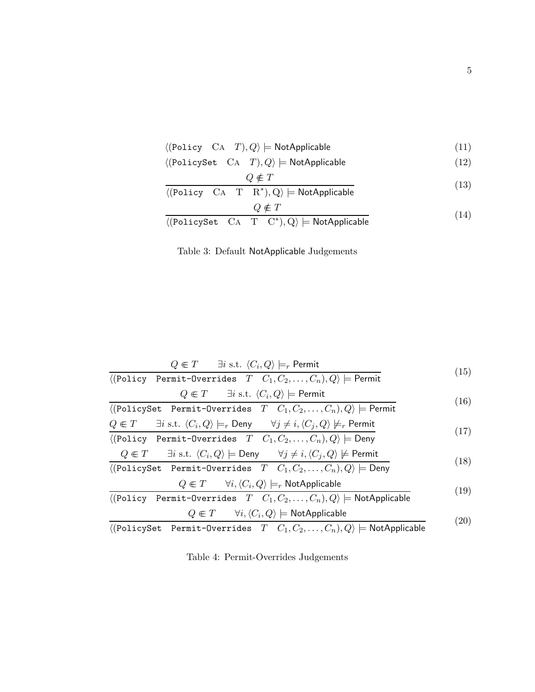|  | $\langle$ (Policy CA <i>T</i> ), $Q \rangle \models$ NotApplicable |  |
|--|--------------------------------------------------------------------|--|
|--|--------------------------------------------------------------------|--|

 $\langle (PolicySet \quad CA \quad T), Q \rangle \models \mathsf{NotApplicable}$  (12)

$$
Q \notin T
$$
\n
$$
G: T \to \mathbb{R}^* \to \mathbb{R}^* \to \mathbb{R}^* \tag{13}
$$

$$
\langle \text{(Policy CA } T \ R^*), Q \rangle \models \text{NotApplicable}
$$
\n
$$
Q \notin T
$$
\n(14)

$$
\langle \text{(PolicySet CA T C*)}, Q \rangle \models \text{NotApplicable} \tag{14}
$$

Table 3: Default NotApplicable Judgements

$$
Q \in T \qquad \exists i \text{ s.t. } \langle C_i, Q \rangle \models_r \text{Permit}
$$
\n
$$
(15)
$$

$$
\langle (\text{Policy Permit-Overrides } T \quad C_1, C_2, \dots, C_n), Q \rangle \models \text{Permit}
$$

$$
Q \in T \quad \exists i \text{ s.t. } \langle C_i, Q \rangle \models \text{Permit}
$$
\n
$$
\langle \text{PolicySet} \quad \text{Permit-Overrides} \quad T \quad C_1, C_2, \dots, C_n, Q \rangle \models \text{Permit}
$$
\n
$$
O \in T \quad \exists i \text{ s.t. } \langle C_i, Q \rangle \models \text{ Dew} \quad \forall i \neq i \langle C_i, Q \rangle \not\models \text{ Permit}
$$
\n
$$
\langle Q_i, Q_j \rangle = \langle Q_i, Q_j \rangle \land \langle Q_j, Q_j \rangle \land \langle Q_j, Q_j \rangle \neq \langle Q_j, Q_j \rangle \land \langle Q_j, Q_j \rangle \neq \langle Q_j, Q_j \rangle \land \langle Q_j, Q_j \rangle \neq \langle Q_j, Q_j \rangle \land \langle Q_j, Q_j \rangle \neq \langle Q_j, Q_j \rangle \land \langle Q_j, Q_j \rangle \neq \langle Q_j, Q_j \rangle \land \langle Q_j, Q_j \rangle \neq \langle Q_j, Q_j \rangle \land \langle Q_j, Q_j \rangle \neq \langle Q_j, Q_j \rangle \land \langle Q_j, Q_j \rangle \neq \langle Q_j, Q_j \rangle \land \langle Q_j, Q_j \rangle \neq \langle Q_j, Q_j \rangle \land \langle Q_j, Q_j \rangle \neq \langle Q_j, Q_j \rangle \land \langle Q_j, Q_j \rangle \neq \langle Q_j, Q_j \rangle \land \langle Q_j, Q_j \rangle \neq \langle Q_j, Q_j \rangle \land \langle Q_j, Q_j \rangle \neq \langle Q_j, Q_j \rangle \land \langle Q_j, Q_j \rangle \neq \langle Q_j, Q_j \rangle \land \langle Q_j, Q_j \rangle \neq \langle Q_j, Q_j \rangle \land \langle Q_j, Q_j \rangle \neq \langle Q_j, Q_j \rangle \land \langle Q_j, Q_j \rangle \neq \langle Q_j, Q_j \rangle \land \langle Q_j, Q_j \rangle \neq \langle Q_j, Q_j \rangle \land \langle Q_j, Q_j \rangle \neq \langle Q_j, Q_j \rangle \land \langle Q_j, Q_j \rangle \neq \langle Q_j, Q_j \rangle \land \langle Q_j, Q_j \rangle \neq \langle Q_j, Q_j \rangle \land \langle Q_j, Q_j \rangle \neq \langle Q_j, Q_j \rangle \land \langle Q_j, Q_j \rangle \neq \langle Q_j, Q_j \rangle \land \langle Q_j, Q_j \rangle \neq \langle Q_j, Q_j \rangle \land \langle Q_j, Q_j \rangle \ne
$$

$$
\langle Q \in I \quad \exists i \text{ s.t. } \langle C_i, Q \rangle \models r \text{ Deny} \quad \forall j \neq i, \langle C_j, Q \rangle \not\models r \text{ Fermit}
$$
\n
$$
\langle \langle \text{Policy Permit-Overrides } T \quad C_1, C_2, \dots, C_n \rangle, Q \rangle \models \text{Deny}
$$
\n
$$
Q \subseteq T \quad \exists i \text{ s.t. } \langle C, Q \rangle \models \text{Deny} \quad \forall i \neq i, \langle C, Q \rangle \not\models \text{Bernit}
$$
\n
$$
\langle \langle \text{P} \rangle \rangle = \langle \text{Conj} \rangle \quad \langle \text{Conj} \rangle = \langle \text{Conj} \rangle \quad \langle \text{Conj} \rangle = \langle \text{Conj} \rangle \quad (17)
$$

$$
Q \in T \quad \exists i \text{ s.t. } \langle C_i, Q \rangle \models \text{Deny} \quad \forall j \neq i, \langle C_j, Q \rangle \not\models \text{Permit}
$$
  

$$
\langle (\text{PolicySet } \text{Permit-Overrides } T \quad C_1, C_2, \dots, C_n), Q \rangle \models \text{Deny}
$$
 (18)

$$
Q \in T \qquad \forall i, \langle C_i, Q \rangle \models_r \text{NotApplicable}
$$
\nFormit. Q  
reconïdus, T, G, G, G, G \rangle

\n(19)

$$
\langle (\text{Policy Permit-Overrides } T \quad C_1, C_2, \dots, C_n), Q \rangle \models \text{NotApplicable}
$$
\n
$$
Q \in T \qquad \forall i, \langle C_i, Q \rangle \models \text{NotApplicable}
$$
\n(20)

$$
\langle (\text{PolicySet} \quad \text{Permit-Overrides} \quad T \quad C_1, C_2, \dots, C_n), Q \rangle \models \text{NotApplicable} \tag{20}
$$

Table 4: Permit-Overrides Judgements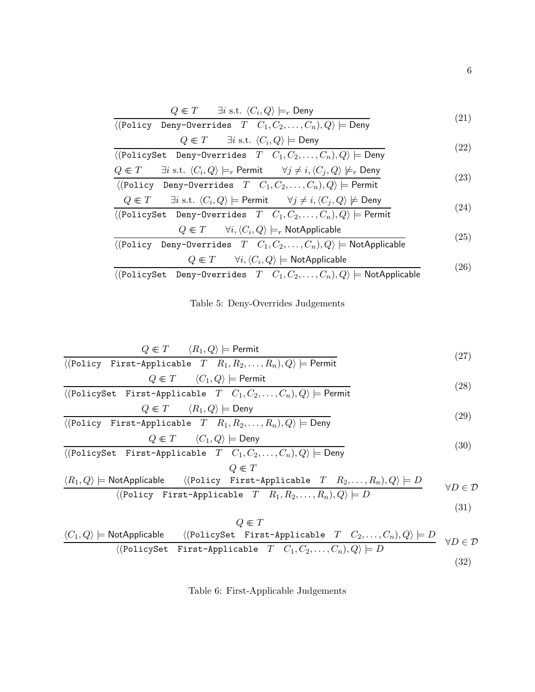$$
Q \in T \qquad \exists i \text{ s.t. } \langle C_i, Q \rangle \models_r \text{Deny}
$$
\n
$$
Q \equiv T \qquad \exists i \text{ s.t. } \langle C_i, Q \rangle \models_r \text{Deny}
$$
\n
$$
(21)
$$

$$
\langle (\text{Policy } \text{Deny-Overrides } T \quad C_1, C_2, \dots, C_n), Q \rangle \models \text{Deny}
$$
\n
$$
Q \in T \qquad \exists i \text{ s.t. } \langle C_i, Q \rangle \models \text{Deny}
$$
\n(21)

$$
\frac{\sqrt{(-1)^{n+1} + (1)^{n+1} + (1)^{n+1} + (1)^{n+1} + (1)^{n+1} + (1)^{n+1} + (1)^{n+1} + (1)^{n+1} + (1)^{n+1} + (1)^{n+1} + (1)^{n+1} + (1)^{n+1} + (1)^{n+1} + (1)^{n+1} + (1)^{n+1} + (1)^{n+1} + (1)^{n+1} + (1)^{n+1} + (1)^{n+1} + (1)^{n+1} + (1)^{n+1} + (1)^{n+1} + (1)^{n+1} + (1)^{n+1} + (1)^{n+1} + (1)^{n+1} + (1)^{n+1} + (1)^{n+1} + (1)^{n+1} + (1)^{n+1} + (1)^{n+1} + (1)^{n+1} + (1)^{n+1} + (1)^{n+1} + (1)^{n+1} + (1)^{n+1} + (1)^{n+1} + (1)^{n+1} + (1)^{n+1} + (1)^{n+1} + (1)^{n+1} + (1)^{n+1} + (1)^{n+1} + (1)^{n+1} + (1)^{n+1} + (1)^{n+1} + (1)^{n+1} + (1)^{n+1} + (1)^{n+1} + (1)^{n+1} + (1)^{n+1} + (1)^{n+1} + (1)^{n+1} + (1)^{n+1} + (1)^{n+1} + (1)^{n+1} + (1)^{n+1} + (1)^{n+1} + (1)^{n+1} + (1)^{n+1} + (1)^{n+1} + (1)^{n+1} + (1)^{n+1} + (1)^{n+1} + (1)^{n+1} + (1)^{n+1} + (1)^{n+1} + (1)^{n+1} + (1)^{n+1} + (1)^{n+1} + (1)^{n+1} + (1)^{n+1} + (1)^{n+1} + (1)^{n+1} + (1)^{n+1} + (1)^{n+1} + (1)^{n+1} + (1)^{n+1} + (1)^{n+1} + (1)^{n+1} + (1)^{n+1} + (1)^{n+1} + (1)^{n+1} + (1)^{n+1}
$$

$$
Q \in T \quad \exists i \text{ s.t. } \langle C_i, Q \rangle \models_r \text{Permit} \quad \forall j \neq i, \langle C_j, Q \rangle \not\models_r \text{Deny} \langle (\text{Policy Deny–Overvides } T \ C_1, C_2, \dots, C_n), Q \rangle \models \text{Permit}
$$
\n(23)

$$
Q \in T \quad \exists i \text{ s.t. } \langle C_i, Q \rangle \models \text{Permit} \quad \forall j \neq i, \langle C_j, Q \rangle \not\models \text{Deny}
$$
\n
$$
\langle \text{Reli} \rangle \text{erfat} \quad \text{Permit} \quad T \subseteq C \subseteq C \quad \text{C} \quad \text{C} \quad \text{O} \quad \text{O} \quad \text{Permit} \tag{24}
$$

$$
\langle (\text{PolicySet \t Deny-Overvides } T \quad C_1, C_2, \dots, C_n), Q \rangle \models \text{Permit}
$$
\n
$$
Q \in T \qquad \forall i, \langle C_i, Q \rangle \models_r \text{ NotApplicable}
$$
\n
$$
(25)
$$

$$
\langle \text{(Policy Deny-Overrides } T \quad C_1, C_2, \dots, C_n), Q \rangle \models \text{NotApplicable}
$$
\n
$$
Q \in T \quad \forall i, \langle C_i, Q \rangle \models \text{NotApplicable}
$$
\n
$$
\langle \text{Data}(P_i, C_i) \rangle = \langle C_i, C_i \rangle \quad \text{(26)}
$$

 $\overline{\langle({\tt PolicySet\_Deny-Overrides}\quad T\quad C_1,C_2,\ldots,C_n),Q\rangle\models {\sf NotApplicable}}$ 

Table 5: Deny-Overrides Judgements

$$
Q \in T \qquad \langle R_1, Q \rangle \models \text{Permit}
$$
\n
$$
\langle (\text{Policy First-Applicable } T \quad R_1, R_2, \dots, R_n), Q \rangle \models \text{Permit}
$$
\n
$$
(27)
$$

$$
Q \in T \qquad \langle C_1, Q \rangle \models \text{Permit}
$$
\n
$$
\langle (\text{PolicySet First-Applicable } T \quad C_1, C_2, \dots, C_n), Q \rangle \models \text{Permit}
$$
\n
$$
(28)
$$

$$
Q \in T \qquad \langle R_1, Q \rangle \models \text{Deny}
$$
\n(20)

$$
\langle \text{(Policy First-Applieded)} \quad T \quad R_1, R_2, \dots, R_n \rangle, Q \rangle \models \text{Deny}
$$
\n
$$
Q \in T \quad \langle C_1, Q \rangle \models \text{Deny}
$$
\n
$$
(29)
$$
\n
$$
(29)
$$

$$
\langle \text{(PolicySet First-Applicable } T \quad C_1, C_2, \dots, C_n), Q \rangle \models \text{Deny}
$$
\n
$$
Q \in T
$$
\n
$$
\langle P, Q \rangle \vdash \text{NatAnrichale } \quad \langle \text{(Dolim, Find halfable } T \quad P, \quad P, \quad Q \rangle \vdash P.
$$
\n
$$
\langle Q, Q \rangle \vdash \text{OutAnrichale } \quad \langle \text{(Dolim, Find halfable } T \quad P, \quad Q \rangle \vdash P.
$$
\n
$$
\langle Q, Q \rangle \vdash \text{OutAnrichale } \quad \langle \text{(Dolim, Find halfable } T \quad P, \quad Q \rangle \vdash P.
$$

$$
\langle R_1, Q \rangle \models \text{NotApplicable} \quad \langle (\text{Policy First-Applicable } T \quad R_2, \dots, R_n), Q \rangle \models D \qquad \forall D \in \mathcal{D}
$$

$$
\langle (\text{Policy First-Applicable } T \quad R_1, R_2, \dots, R_n), Q \rangle \models D \qquad \qquad \forall D \in \mathcal{D}
$$

$$
(31)
$$

$$
Q \in T
$$
  
\n
$$
\langle C_1, Q \rangle \models \text{NotApplicable} \quad \langle (\text{PolicySet First-Applicable } T \quad C_2, \dots, C_n), Q \rangle \models D \quad \forall D \in \mathcal{D}
$$
  
\n
$$
\langle (\text{PolicySet First-Applicable } T \quad C_1, C_2, \dots, C_n), Q \rangle \models D \quad \forall D \in \mathcal{D}
$$
  
\n(32)

# Table 6: First-Applicable Judgements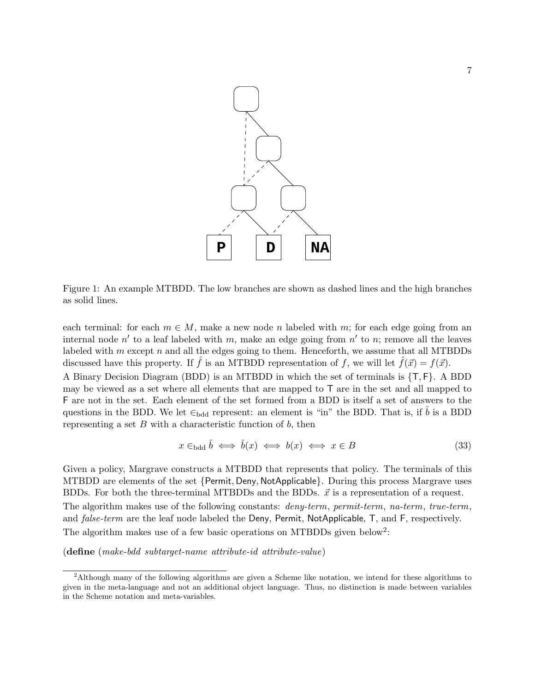

Figure 1: An example MTBDD. The low branches are shown as dashed lines and the high branches as solid lines.

each terminal: for each  $m \in M$ , make a new node n labeled with m; for each edge going from an internal node  $n'$  to a leaf labeled with m, make an edge going from  $n'$  to n; remove all the leaves labeled with  $m$  except  $n$  and all the edges going to them. Henceforth, we assume that all MTBDDs discussed have this property. If  $\hat{f}$  is an MTBDD representation of f, we will let  $f(\vec{x}) = f(\vec{x})$ . A Binary Decision Diagram (BDD) is an MTBDD in which the set of terminals is {T, F}. A BDD may be viewed as a set where all elements that are mapped to T are in the set and all mapped to F are not in the set. Each element of the set formed from a BDD is itself a set of answers to the questions in the BDD. We let  $\epsilon_{\text{bdd}}$  represent: an element is "in" the BDD. That is, if  $\hat{b}$  is a BDD representing a set  $B$  with a characteristic function of  $b$ , then

$$
x \in_{\text{bdd}} \hat{b} \iff \hat{b}(x) \iff b(x) \iff x \in B \tag{33}
$$

Given a policy, Margrave constructs a MTBDD that represents that policy. The terminals of this MTBDD are elements of the set {Permit, Deny, NotApplicable}. During this process Margrave uses BDDs. For both the three-terminal MTBDDs and the BDDs.  $\vec{x}$  is a representation of a request. The algorithm makes use of the following constants: *deny-term*, permit-term, na-term, true-term, and *false-term* are the leaf node labeled the Deny, Permit, NotApplicable, T, and F, respectively. The algorithm makes use of a few basic operations on MTBDDs given below<sup>2</sup>:

(define (make-bdd subtarget-name attribute-id attribute-value)

<sup>2</sup>Although many of the following algorithms are given a Scheme like notation, we intend for these algorithms to given in the meta-language and not an additional object language. Thus, no distinction is made between variables in the Scheme notation and meta-variables.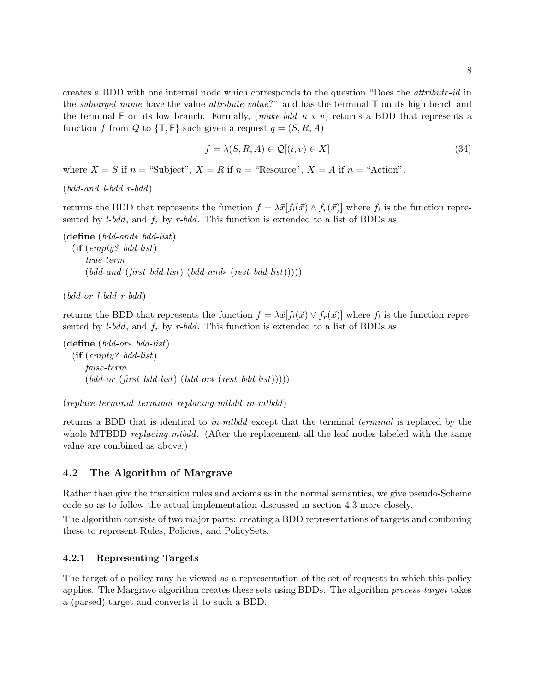creates a BDD with one internal node which corresponds to the question "Does the attribute-id in the *subtarget-name* have the value *attribute-value?*" and has the terminal  $\mathsf{T}$  on its high bench and the terminal F on its low branch. Formally,  $(make-bdd\;n\;i\;v)$  returns a BDD that represents a function f from Q to  $\{T, F\}$  such given a request  $q = (S, R, A)$ 

$$
f = \lambda(S, R, A) \in \mathcal{Q}[(i, v) \in X]
$$
\n(34)

where  $X = S$  if  $n =$  "Subject",  $X = R$  if  $n =$  "Resource",  $X = A$  if  $n =$  "Action".

```
(bdd-and l-bdd r-bdd)
```
returns the BDD that represents the function  $f = \lambda \vec{x} [f_l(\vec{x}) \wedge f_r(\vec{x})]$  where  $f_l$  is the function represented by *l-bdd*, and  $f_r$  by r-bdd. This function is extended to a list of BDDs as

```
(define (bdd-and∗ bdd-list)
 (\text{if } (empty^2 \text{ bdd-list})true-term
       (\text{bdd-and} \ ( \text{first} \ \text{bdd-list}) \ ( \text{bdd-and} \ast (\text{rest} \ \text{bdd-list}))))
```

```
(bdd-or \text{ } l-bdd \text{ } r-bdd)
```
returns the BDD that represents the function  $f = \lambda \vec{x} [f_l(\vec{x}) \vee f_r(\vec{x})]$  where  $f_l$  is the function represented by *l-bdd*, and  $f_r$  by *r-bdd*. This function is extended to a list of BDDs as

```
(define (bdd-or∗ bdd-list)
 (if (empty? bdd-list)
     false-term
      (\text{bdd-or} \text{ (first } \text{bdd-list}) (\text{bdd-or*} \text{ (rest } \text{bdd-list}))))
```
(replace-terminal terminal replacing-mtbdd in-mtbdd)

returns a BDD that is identical to in-mtbdd except that the terminal terminal is replaced by the whole MTBDD *replacing-mtbdd*. (After the replacement all the leaf nodes labeled with the same value are combined as above.)

## 4.2 The Algorithm of Margrave

Rather than give the transition rules and axioms as in the normal semantics, we give pseudo-Scheme code so as to follow the actual implementation discussed in section 4.3 more closely.

The algorithm consists of two major parts: creating a BDD representations of targets and combining these to represent Rules, Policies, and PolicySets.

#### 4.2.1 Representing Targets

The target of a policy may be viewed as a representation of the set of requests to which this policy applies. The Margrave algorithm creates these sets using BDDs. The algorithm process-target takes a (parsed) target and converts it to such a BDD.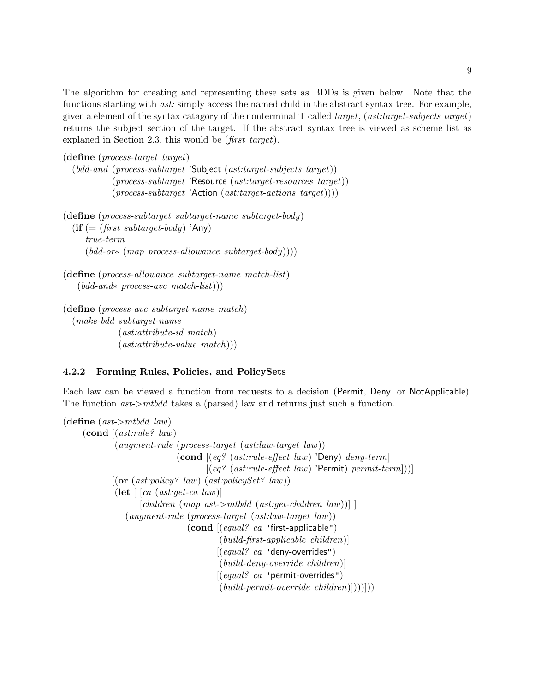The algorithm for creating and representing these sets as BDDs is given below. Note that the functions starting with *ast:* simply access the named child in the abstract syntax tree. For example, given a element of the syntax catagory of the nonterminal T called target, (ast:target-subjects target) returns the subject section of the target. If the abstract syntax tree is viewed as scheme list as explaned in Section 2.3, this would be (first target).

```
(define (process-target target)
```

```
(bdd-and (process-subtarget 'Subject (ast:target-subjects target))
        (process-subtarget 'Resource (ast:target\text{-}resource\ target))(process-subtarget 'Action (ast:target\text{-}actions\ target)))
```
(define (process-subtarget subtarget-name subtarget-body)

 $\textbf{(if } (= (first \; subtract\text{-}body) \; \text{'Any})$ true-term  $(\text{bdd-or*} (\text{map process-allowance subtarget-body})))$ 

```
(define (process-allowance subtarget-name match-list)
 (bdd-and∗ process-avc match-list)))
```

```
(define (process-avc subtarget-name match)
(make-bdd subtarget-name
           (ast:attribute-id match)
           (\text{ast:attribute-value match})
```
## 4.2.2 Forming Rules, Policies, and PolicySets

Each law can be viewed a function from requests to a decision (Permit, Deny, or NotApplicable). The function ast->mtbdd takes a (parsed) law and returns just such a function.

```
(define (ast > mtbdd law)
    \left(\text{cond} \left( (ast: rule? \, law) \right)\right)(augment-rule (process-target (ast:law-target law))
                                  \pmb{\quad (cond \pmb{[} (eq? \ (ast: rule\text{-}effect \ law) \text{'}Deny) \text{'}deny\text{-}term[(eq? (ast: rule-effect law) 'Permit) \ permit-term]))][(or (ast:policy? law) (ast:policySet? law))(\text{let } [\text{ca } (ast:get\text{-}ca \text{ law})])[children (map ast> mtbdd (ast:get-children law))](augment-rule (process-target (ast:law-target law))
                                      \left( \text{cond} \left[ \left( \text{equal} \right. \right. \right. \right) ca "first-applicable")
                                                (build-first-applicable children)]
                                               [(equal? \ ca "deny-overrides")(build-deny-override children)]
                                               [(equal? \ ca "permit-oversides")(build-permit-override\,children)|))
```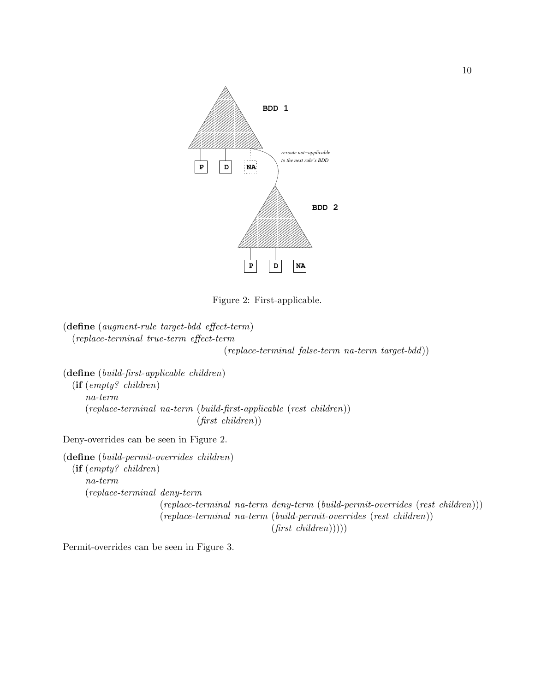

Figure 2: First-applicable.

(define (augment-rule target-bdd effect-term) (replace-terminal true-term effect-term

(replace-terminal false-term na-term target-bdd))

(define (build-first-applicable children) (if (empty? children) na-term (replace-terminal na-term (build-first-applicable (rest children)) (first children))

Deny-overrides can be seen in Figure 2.

(define (build-permit-overrides children) (if (empty? children) na-term (replace-terminal deny-term (replace-terminal na-term deny-term (build-permit-overrides (rest children))) (replace-terminal na-term (build-permit-overrides (rest children))  $(first \ children))))$ 

Permit-overrides can be seen in Figure 3.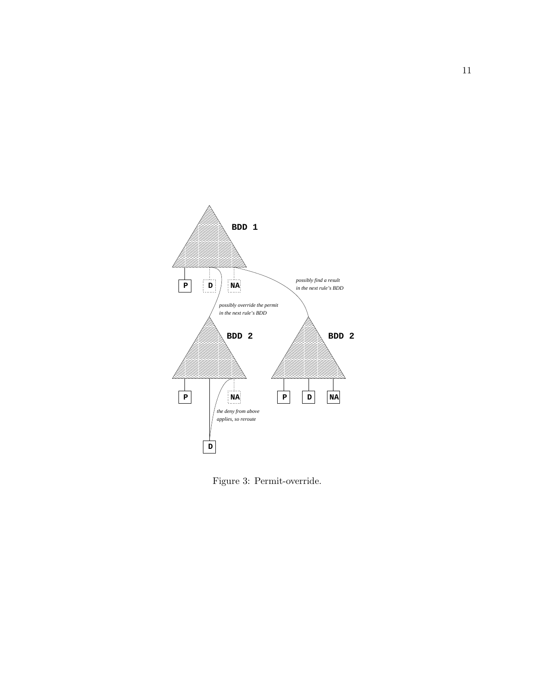

Figure 3: Permit-override.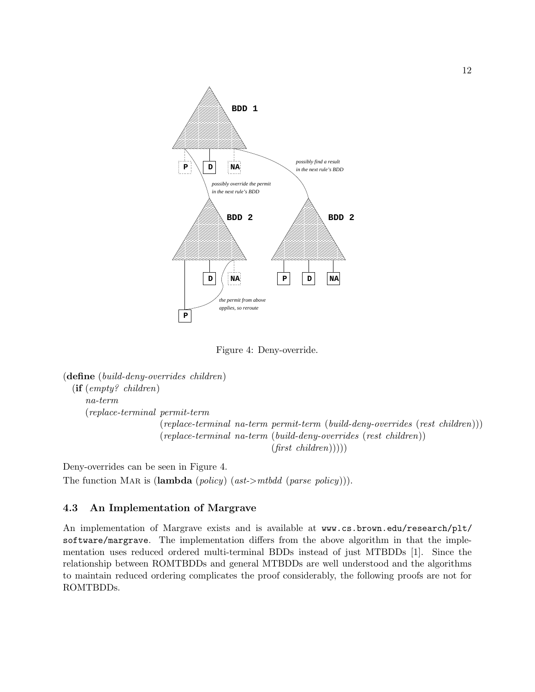

Figure 4: Deny-override.

```
(define (build-deny-overrides children)
(if (empty? children)
   na-term
   (replace-terminal permit-term
                     (replace-terminal na-term permit-term (build-deny-overrides (rest children)))
                     (replace-terminal na-term (build-deny-overrides (rest children))
                                                (first \ children))))
```
Deny-overrides can be seen in Figure 4. The function MAR is (lambda (policy) (ast->mtbdd (parse policy))).

## 4.3 An Implementation of Margrave

An implementation of Margrave exists and is available at www.cs.brown.edu/research/plt/ software/margrave. The implementation differs from the above algorithm in that the implementation uses reduced ordered multi-terminal BDDs instead of just MTBDDs [1]. Since the relationship between ROMTBDDs and general MTBDDs are well understood and the algorithms to maintain reduced ordering complicates the proof considerably, the following proofs are not for ROMTBDDs.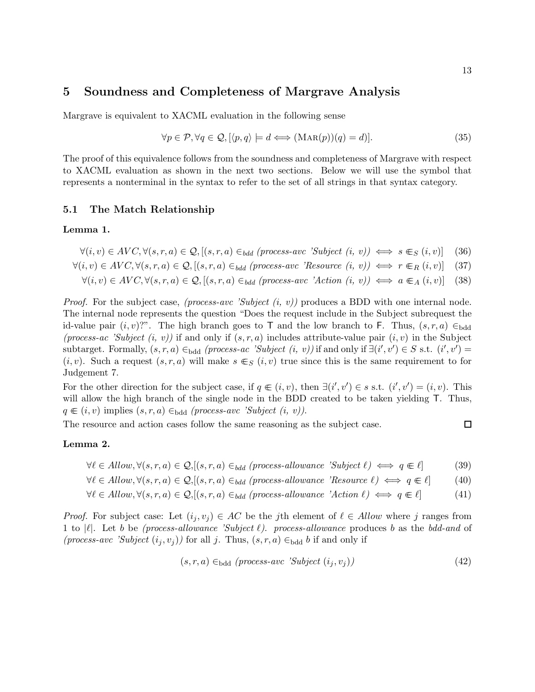# 5 Soundness and Completeness of Margrave Analysis

Margrave is equivalent to XACML evaluation in the following sense

$$
\forall p \in \mathcal{P}, \forall q \in \mathcal{Q}, [\langle p, q \rangle \models d \Longleftrightarrow (\text{MAR}(p))(q) = d)]. \tag{35}
$$

The proof of this equivalence follows from the soundness and completeness of Margrave with respect to XACML evaluation as shown in the next two sections. Below we will use the symbol that represents a nonterminal in the syntax to refer to the set of all strings in that syntax category.

#### 5.1 The Match Relationship

#### Lemma 1.

- $\forall (i, v) \in AVC, \forall (s, r, a) \in \mathcal{Q}, [(s, r, a) \in_{bdd} (process-ave \; 'Subject \; (i, v)) \iff s \in_S (i, v)]$  (36)
- $\forall (i, v) \in AVC, \forall (s, r, a) \in \mathcal{Q}, [(s, r, a) \in_{bdd} (process-avc \; 'Resource \; (i, v)) \iff r \in_R (i, v)]$  (37)

$$
\forall (i, v) \in AVC, \forall (s, r, a) \in \mathcal{Q}, [(s, r, a) \in_{bdd} (process-ave 'Action (i, v)) \iff a \in_A (i, v)] \quad (38)
$$

*Proof.* For the subject case, (process-avc 'Subject  $(i, v)$ ) produces a BDD with one internal node. The internal node represents the question "Does the request include in the Subject subrequest the id-value pair  $(i, v)$ ?". The high branch goes to T and the low branch to F. Thus,  $(s, r, a) \in_{\text{bdd}}$ (process-ac 'Subject  $(i, v)$ ) if and only if  $(s, r, a)$  includes attribute-value pair  $(i, v)$  in the Subject subtarget. Formally,  $(s, r, a) \in_{\text{bdd}} (process-ac \text{ 'Subject } (i, v))$  if and only if  $\exists (i', v') \in S \text{ s.t. } (i', v') =$  $(i, v)$ . Such a request  $(s, r, a)$  will make  $s \in S$   $(i, v)$  true since this is the same requirement to for Judgement 7.

For the other direction for the subject case, if  $q \in (i, v)$ , then  $\exists (i', v') \in s$  s.t.  $(i', v') = (i, v)$ . This will allow the high branch of the single node in the BDD created to be taken yielding  $T$ . Thus,  $q \in (i, v)$  implies  $(s, r, a) \in_{\text{bdd}} (process-avc$  'Subject  $(i, v)$ ).

The resource and action cases follow the same reasoning as the subject case.

#### Lemma 2.

- $\forall \ell \in Allow, \forall (s, r, a) \in \mathcal{Q}, [(s, r, a) \in_{bdd} (process-allowance 'Subject \ell) \iff q \in \ell ]$  (39)
- $\forall \ell \in Allow, \forall (s, r, a) \in \mathcal{Q}, [(s, r, a) \in_{bdd} (process-allowance \; 'Resource \ell) \iff q \in \ell]$  (40)

$$
\forall \ell \in Allow, \forall (s, r, a) \in \mathcal{Q}, [(s, r, a) \in_{bdd} (process-allowance 'Action \ell) \iff q \in \ell]
$$
 (41)

*Proof.* For subject case: Let  $(i_j, v_j) \in AC$  be the jth element of  $\ell \in Allow$  where j ranges from 1 to  $|\ell|$ . Let b be (process-allowance 'Subject  $\ell$ ). process-allowance produces b as the bdd-and of (process-avc 'Subject  $(i_j, v_j)$ ) for all j. Thus,  $(s, r, a) \in_{\text{bdd}} b$  if and only if

$$
(s, r, a) \in_{\text{bdd}} (process-ave 'Subject (i_j, v_j)) \tag{42}
$$

$$
\Box
$$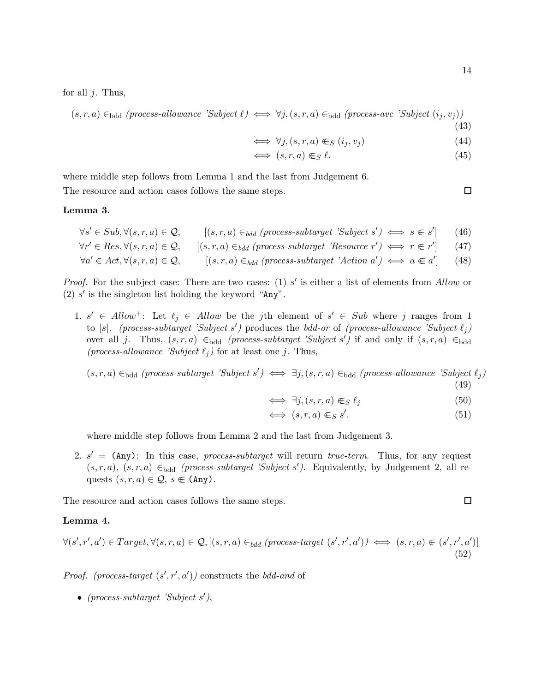for all  $j$ . Thus,

 $(s, r, a) \in_{\text{bdd}} (process-allowance \text{ 'Subject } \ell) \iff \forall j, (s, r, a) \in_{\text{bdd}} (process-ave \text{ 'Subject } (i_j, v_j))$ (43)

$$
\iff \forall j, (s, r, a) \in S \ (i_j, v_j) \tag{44}
$$

$$
\iff (s, r, a) \in S \ell. \tag{45}
$$

where middle step follows from Lemma 1 and the last from Judgement 6. The resource and action cases follows the same steps.

#### Lemma 3.

- $\forall s' \in Sub, \forall (s, r, a) \in \mathcal{Q}, \qquad [(s, r, a) \in_{bdd} (process-subtarget \textit{'Subject} s') \iff s \in s'$  $(46)$
- $\forall r' \in Res, \forall (s, r, a) \in \mathcal{Q}, \quad [(s, r, a) \in_{bdd} (process-subtarget \textit{'Resource } r') \iff r \in r'$  $(47)$

$$
\forall a' \in Act, \forall (s, r, a) \in \mathcal{Q}, \qquad [(s, r, a) \in_{bdd} (process-subtarget \text{ 'Action } a') \iff a \in a'] \qquad (48)
$$

*Proof.* For the subject case: There are two cases: (1)  $s'$  is either a list of elements from Allow or (2)  $s'$  is the singleton list holding the keyword "Any".

1.  $s' \in Allow^+$ : Let  $\ell_j \in Allow$  be the j<sup>th</sup> element of  $s' \in Sub$  where j ranges from 1 to |s|. (process-subtarget 'Subject s') produces the bdd-or of (process-allowance 'Subject  $\ell_j$ ) over all j. Thus,  $(s, r, a) \in_{\text{bdd}} (process-subtarget \text{ 'Subject s') if and only if } (s, r, a) \in_{\text{bdd}}$ (process-allowance 'Subject  $\ell_j$ ) for at least one j. Thus,

 $(s, r, a) \in_{\text{bdd}} (process-subtarget \text{ 'Subject s'}) \iff \exists j, (s, r, a) \in_{\text{bdd}} (process-allowane \text{ 'Subject } \ell_j)$ (49)

$$
\iff \exists j, (s, r, a) \in_S \ell_j \tag{50}
$$

$$
\iff (s, r, a) \in S \ s'. \tag{51}
$$

where middle step follows from Lemma 2 and the last from Judgement 3.

2.  $s' =$  (Any): In this case, process-subtarget will return true-term. Thus, for any request  $(s, r, a)$ ,  $(s, r, a) \in_{\text{bdd}} (process-subtarget$  'Subject s'). Equivalently, by Judgement 2, all requests  $(s, r, a) \in \mathcal{Q}, s \in (\text{Any}).$ 

The resource and action cases follows the same steps.

#### Lemma 4.

$$
\forall (s', r', a') \in Target, \forall (s, r, a) \in \mathcal{Q}, [(s, r, a) \in_{bdd} (process-target(s', r', a')) \iff (s, r, a) \in (s', r', a')]
$$
\n
$$
(52)
$$

*Proof.* (process-target  $(s', r', a')$ ) constructs the bdd-and of

• (process-subtarget 'Subject s'),

 $\Box$ 

$$
\Box
$$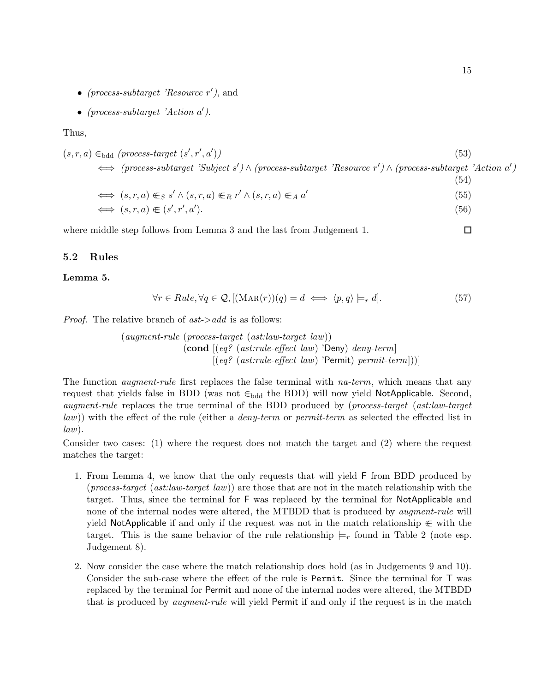- (process-subtarget 'Resource  $r'$ ), and
- (process-subtarget 'Action  $a'$ ).

#### Thus,

$$
(s,r,a) \in_{\text{bdd}} (\text{process-target } (s',r',a')) \tag{53}
$$
\n
$$
\iff (\text{process-subtarget 'Subject s') \land (\text{process-subtarget 'Resource r') \land (\text{process-subtarget 'Action a'})
$$

(54)

$$
\iff (s, r, a) \in_S s' \land (s, r, a) \in_R r' \land (s, r, a) \in_A a'
$$
\n
$$
(55)
$$

$$
\iff (s, r, a) \in (s', r', a'). \tag{56}
$$

 $\Box$ where middle step follows from Lemma 3 and the last from Judgement 1.

#### 5.2 Rules

#### Lemma 5.

$$
\forall r \in Rule, \forall q \in \mathcal{Q}, [(\text{MAR}(r))(q) = d \iff \langle p, q \rangle \models_r d]. \tag{57}
$$

*Proof.* The relative branch of  $ast$ ->add is as follows:

(augment-rule (process-target (ast:law-target law))  $\pmb{\quad$  (cond  $\pmb{[}(\textit{eq? (ast:rule{\text{-}effect~law}) 'Deny)~}$  deny-term]  $[(eq? (ast:rule{\text{-}effect law) 'Permit) permit-term]))]$ 

The function *augment-rule* first replaces the false terminal with *na-term*, which means that any request that yields false in BDD (was not  $\in_{\text{bdd}}$  the BDD) will now yield NotApplicable. Second, augment-rule replaces the true terminal of the BDD produced by (process-target (ast:law-target law)) with the effect of the rule (either a *deny-term* or *permit-term* as selected the effected list in  $law).$ 

Consider two cases: (1) where the request does not match the target and (2) where the request matches the target:

- 1. From Lemma 4, we know that the only requests that will yield F from BDD produced by (*process-target* (*ast:law-target law*)) are those that are not in the match relationship with the target. Thus, since the terminal for F was replaced by the terminal for NotApplicable and none of the internal nodes were altered, the MTBDD that is produced by *augment-rule* will yield NotApplicable if and only if the request was not in the match relationship  $\in$  with the target. This is the same behavior of the rule relationship  $\models_r$  found in Table 2 (note esp. Judgement 8).
- 2. Now consider the case where the match relationship does hold (as in Judgements 9 and 10). Consider the sub-case where the effect of the rule is Permit. Since the terminal for T was replaced by the terminal for Permit and none of the internal nodes were altered, the MTBDD that is produced by *augment-rule* will yield Permit if and only if the request is in the match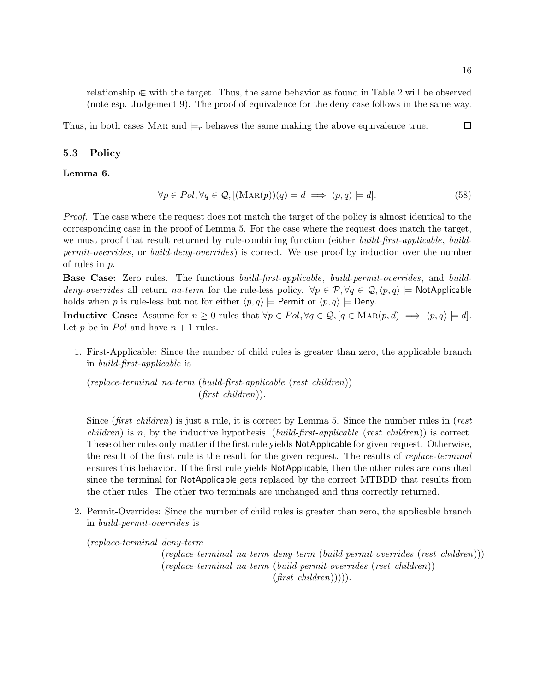relationship ∈∈ with the target. Thus, the same behavior as found in Table 2 will be observed (note esp. Judgement 9). The proof of equivalence for the deny case follows in the same way.

 $\Box$ Thus, in both cases MAR and  $\models$ r behaves the same making the above equivalence true.

#### 5.3 Policy

Lemma 6.

$$
\forall p \in Pol, \forall q \in \mathcal{Q}, \left[ (\text{MAR}(p))(q) = d \implies \langle p, q \rangle \right] = d]. \tag{58}
$$

Proof. The case where the request does not match the target of the policy is almost identical to the corresponding case in the proof of Lemma 5. For the case where the request does match the target, we must proof that result returned by rule-combining function (either build-first-applicable, buildpermit-overrides, or build-deny-overrides) is correct. We use proof by induction over the number of rules in p.

**Base Case:** Zero rules. The functions *build-first-applicable*, *build-permit-overrides*, and *build*deny-overrides all return na-term for the rule-less policy.  $\forall p \in \mathcal{P}, \forall q \in \mathcal{Q}, \langle p, q \rangle \models$  NotApplicable holds when p is rule-less but not for either  $\langle p, q \rangle \models$  Permit or  $\langle p, q \rangle \models$  Deny.

**Inductive Case:** Assume for  $n \geq 0$  rules that  $\forall p \in Pol, \forall q \in \mathcal{Q}, [q \in \text{MAR}(p, d) \implies \langle p, q \rangle \models d].$ Let p be in Pol and have  $n + 1$  rules.

1. First-Applicable: Since the number of child rules is greater than zero, the applicable branch in build-first-applicable is

(replace-terminal na-term (build-first-applicable (rest children)) (first children)).

Since (first children) is just a rule, it is correct by Lemma 5. Since the number rules in (rest *children*) is n, by the inductive hypothesis, (*build-first-applicable* (*rest children*)) is correct. These other rules only matter if the first rule yields NotApplicable for given request. Otherwise, the result of the first rule is the result for the given request. The results of *replace-terminal* ensures this behavior. If the first rule yields NotApplicable, then the other rules are consulted since the terminal for NotApplicable gets replaced by the correct MTBDD that results from the other rules. The other two terminals are unchanged and thus correctly returned.

2. Permit-Overrides: Since the number of child rules is greater than zero, the applicable branch in build-permit-overrides is

(replace-terminal deny-term

(replace-terminal na-term deny-term (build-permit-overrides (rest children))) (replace-terminal na-term (build-permit-overrides (rest children))  $(first \ children))))$ .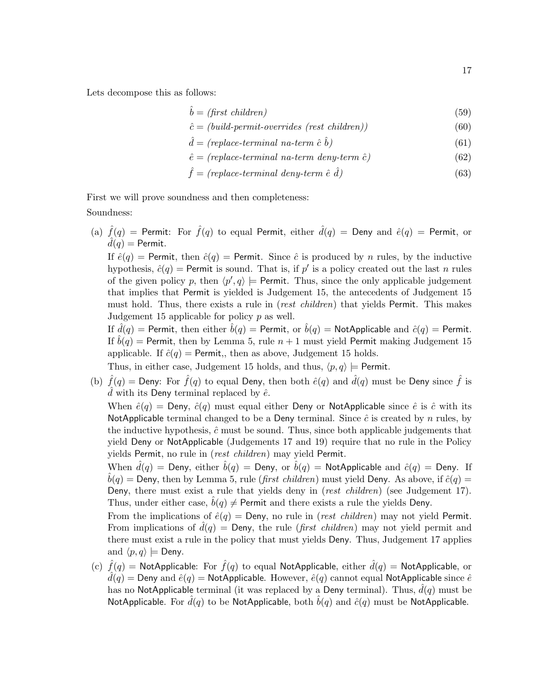Lets decompose this as follows:

$$
\hat{b} = (\text{first children})\tag{59}
$$

$$
\hat{c} = (build-permit-overrides (rest \ children)) \tag{60}
$$

- $\hat{d} = (replace-terminal\;na-term\; \hat{c}\; \hat{b})$  $\hat{b}$ ) (61)
- $\hat{e} = (replace-terminal\ nacterm\ deny-term\ \hat{c})$  (62)

$$
\hat{f} = (replace-terminal \; deny-term \; \hat{e} \; \hat{d}) \tag{63}
$$

First we will prove soundness and then completeness: Soundness:

(a)  $\hat{f}(q)$  = Permit: For  $\hat{f}(q)$  to equal Permit, either  $\hat{d}(q)$  = Deny and  $\hat{e}(q)$  = Permit, or  $\ddot{d}(q)$  = Permit.

If  $\hat{e}(q)$  = Permit, then  $\hat{e}(q)$  = Permit. Since  $\hat{c}$  is produced by n rules, by the inductive hypothesis,  $\hat{c}(q)$  = Permit is sound. That is, if p' is a policy created out the last n rules of the given policy p, then  $\langle p', q \rangle \models$  Permit. Thus, since the only applicable judgement that implies that Permit is yielded is Judgement 15, the antecedents of Judgement 15 must hold. Thus, there exists a rule in (*rest children*) that yields Permit. This makes Judgement 15 applicable for policy  $p$  as well.

If  $d(q)$  = Permit, then either  $b(q)$  = Permit, or  $b(q)$  = NotApplicable and  $\hat{c}(q)$  = Permit. If  $b(q)$  = Permit, then by Lemma 5, rule  $n + 1$  must yield Permit making Judgement 15 applicable. If  $\hat{c}(q)$  = Permit,, then as above, Judgement 15 holds.

Thus, in either case, Judgement 15 holds, and thus,  $\langle p, q \rangle \models$  Permit.

(b)  $\hat{f}(q)$  = Deny: For  $\hat{f}(q)$  to equal Deny, then both  $\hat{e}(q)$  and  $\hat{d}(q)$  must be Deny since  $\hat{f}$  is d with its Deny terminal replaced by  $\hat{e}$ .

When  $\hat{e}(q)$  = Deny,  $\hat{e}(q)$  must equal either Deny or NotApplicable since  $\hat{e}$  is  $\hat{c}$  with its NotApplicable terminal changed to be a Deny terminal. Since  $\hat{c}$  is created by n rules, by the inductive hypothesis,  $\hat{c}$  must be sound. Thus, since both applicable judgements that yield Deny or NotApplicable (Judgements 17 and 19) require that no rule in the Policy yields Permit, no rule in (rest children) may yield Permit.

When  $\hat{d}(q)$  = Deny, either  $\hat{b}(q)$  = Deny, or  $\hat{b}(q)$  = NotApplicable and  $\hat{c}(q)$  = Deny. If  $b(q)$  = Deny, then by Lemma 5, rule (*first children*) must yield Deny. As above, if  $\hat{c}(q)$  = Deny, there must exist a rule that yields deny in (rest children) (see Judgement 17). Thus, under either case,  $\ddot{b}(q) \neq$  Permit and there exists a rule the yields Deny.

From the implications of  $\hat{e}(q) = \text{Deny}$ , no rule in (*rest children*) may not yield Permit. From implications of  $d(q) =$  Deny, the rule (*first children*) may not yield permit and there must exist a rule in the policy that must yields Deny. Thus, Judgement 17 applies and  $\langle p, q \rangle \models$  Deny.

(c)  $\hat{f}(q)$  = NotApplicable: For  $\hat{f}(q)$  to equal NotApplicable, either  $\hat{d}(q)$  = NotApplicable, or  $\hat{d}(q)$  = Deny and  $\hat{e}(q)$  = NotApplicable. However,  $\hat{e}(q)$  cannot equal NotApplicable since  $\hat{e}$ has no NotApplicable terminal (it was replaced by a Deny terminal). Thus,  $d(q)$  must be NotApplicable. For  $\hat{d}(q)$  to be NotApplicable, both  $\hat{b}(q)$  and  $\hat{c}(q)$  must be NotApplicable.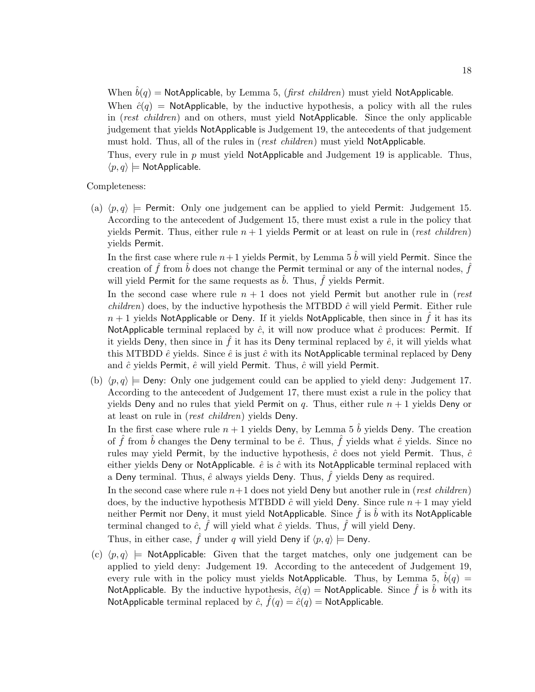When  $\hat{b}(q)$  = NotApplicable, by Lemma 5, (first children) must yield NotApplicable.

When  $\hat{c}(q)$  = NotApplicable, by the inductive hypothesis, a policy with all the rules in (rest children) and on others, must yield NotApplicable. Since the only applicable judgement that yields NotApplicable is Judgement 19, the antecedents of that judgement must hold. Thus, all of the rules in (*rest children*) must yield NotApplicable.

Thus, every rule in p must yield NotApplicable and Judgement 19 is applicable. Thus,  $\langle p, q \rangle \models$  NotApplicable.

#### Completeness:

(a)  $\langle p, q \rangle$   $\models$  Permit: Only one judgement can be applied to yield Permit: Judgement 15. According to the antecedent of Judgement 15, there must exist a rule in the policy that yields Permit. Thus, either rule  $n + 1$  yields Permit or at least on rule in (*rest children*) yields Permit.

In the first case where rule  $n+1$  yields Permit, by Lemma 5  $\hat{b}$  will yield Permit. Since the creation of  $\hat{f}$  from  $\hat{b}$  does not change the Permit terminal or any of the internal nodes,  $\hat{f}$ will yield Permit for the same requests as  $\hat{b}$ . Thus,  $\hat{f}$  yields Permit.

In the second case where rule  $n + 1$  does not yield Permit but another rule in (rest *children*) does, by the inductive hypothesis the MTBDD  $\hat{c}$  will yield Permit. Either rule  $n + 1$  yields NotApplicable or Deny. If it yields NotApplicable, then since in f it has its NotApplicable terminal replaced by  $\hat{c}$ , it will now produce what  $\hat{c}$  produces: Permit. If it yields Deny, then since in  $\hat{f}$  it has its Deny terminal replaced by  $\hat{e}$ , it will yields what this MTBDD  $\hat{e}$  yields. Since  $\hat{e}$  is just  $\hat{c}$  with its NotApplicable terminal replaced by Deny and  $\hat{c}$  yields Permit,  $\hat{e}$  will yield Permit. Thus,  $\hat{c}$  will yield Permit.

(b)  $\langle p, q \rangle \models$  Deny: Only one judgement could can be applied to yield deny: Judgement 17. According to the antecedent of Judgement 17, there must exist a rule in the policy that yields Deny and no rules that yield Permit on q. Thus, either rule  $n + 1$  yields Deny or at least on rule in (rest children) yields Deny.

In the first case where rule  $n + 1$  yields Deny, by Lemma 5  $\hat{b}$  yields Deny. The creation of  $\hat{f}$  from  $\hat{b}$  changes the Deny terminal to be  $\hat{e}$ . Thus,  $\hat{f}$  yields what  $\hat{e}$  yields. Since no rules may yield Permit, by the inductive hypothesis,  $\hat{c}$  does not yield Permit. Thus,  $\hat{c}$ either yields Deny or NotApplicable.  $\hat{e}$  is  $\hat{c}$  with its NotApplicable terminal replaced with a Deny terminal. Thus,  $\hat{e}$  always yields Deny. Thus,  $\hat{f}$  yields Deny as required.

In the second case where rule  $n+1$  does not yield Deny but another rule in (rest children) does, by the inductive hypothesis MTBDD  $\hat{c}$  will yield Deny. Since rule  $n+1$  may yield neither Permit nor Deny, it must yield NotApplicable. Since  $\hat{f}$  is  $\hat{b}$  with its NotApplicable terminal changed to  $\hat{c}$ ,  $\hat{f}$  will yield what  $\hat{c}$  yields. Thus,  $\hat{f}$  will yield Deny.

Thus, in either case,  $\hat{f}$  under q will yield Deny if  $\langle p, q \rangle \models$  Deny.

(c)  $\langle p, q \rangle \models$  NotApplicable: Given that the target matches, only one judgement can be applied to yield deny: Judgement 19. According to the antecedent of Judgement 19, every rule with in the policy must yields NotApplicable. Thus, by Lemma 5,  $b(q)$  = NotApplicable. By the inductive hypothesis,  $\hat{c}(q) = \text{NotApplicable}$ . Since  $\hat{f}$  is  $\hat{b}$  with its NotApplicable terminal replaced by  $\hat{c}$ ,  $\hat{f}(q) = \hat{c}(q) =$  NotApplicable.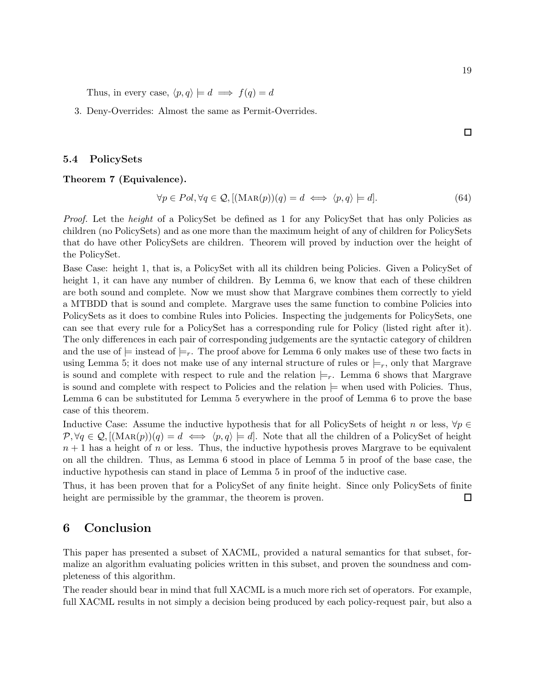Thus, in every case,  $\langle p, q \rangle \models d \implies f(q) = d$ 

3. Deny-Overrides: Almost the same as Permit-Overrides.

 $\Box$ 

#### 5.4 PolicySets

#### Theorem 7 (Equivalence).

$$
\forall p \in Pol, \forall q \in \mathcal{Q}, \left[ (\text{MAR}(p))(q) = d \iff \langle p, q \rangle \right] = d]. \tag{64}
$$

Proof. Let the *height* of a PolicySet be defined as 1 for any PolicySet that has only Policies as children (no PolicySets) and as one more than the maximum height of any of children for PolicySets that do have other PolicySets are children. Theorem will proved by induction over the height of the PolicySet.

Base Case: height 1, that is, a PolicySet with all its children being Policies. Given a PolicySet of height 1, it can have any number of children. By Lemma 6, we know that each of these children are both sound and complete. Now we must show that Margrave combines them correctly to yield a MTBDD that is sound and complete. Margrave uses the same function to combine Policies into PolicySets as it does to combine Rules into Policies. Inspecting the judgements for PolicySets, one can see that every rule for a PolicySet has a corresponding rule for Policy (listed right after it). The only differences in each pair of corresponding judgements are the syntactic category of children and the use of  $\models$  instead of  $\models_r$ . The proof above for Lemma 6 only makes use of these two facts in using Lemma 5; it does not make use of any internal structure of rules or  $\models_r$ , only that Margrave is sound and complete with respect to rule and the relation  $\models_r$ . Lemma 6 shows that Margrave is sound and complete with respect to Policies and the relation  $\models$  when used with Policies. Thus, Lemma 6 can be substituted for Lemma 5 everywhere in the proof of Lemma 6 to prove the base case of this theorem.

Inductive Case: Assume the inductive hypothesis that for all PolicySets of height n or less,  $\forall p \in \mathbb{R}$  $\mathcal{P}, \forall q \in \mathcal{Q}, [(\text{MAR}(p))(q) = d \iff \langle p, q \rangle \models d].$  Note that all the children of a PolicySet of height  $n + 1$  has a height of n or less. Thus, the inductive hypothesis proves Margrave to be equivalent on all the children. Thus, as Lemma 6 stood in place of Lemma 5 in proof of the base case, the inductive hypothesis can stand in place of Lemma 5 in proof of the inductive case.

Thus, it has been proven that for a PolicySet of any finite height. Since only PolicySets of finite height are permissible by the grammar, the theorem is proven.  $\Box$ 

# 6 Conclusion

This paper has presented a subset of XACML, provided a natural semantics for that subset, formalize an algorithm evaluating policies written in this subset, and proven the soundness and completeness of this algorithm.

The reader should bear in mind that full XACML is a much more rich set of operators. For example, full XACML results in not simply a decision being produced by each policy-request pair, but also a